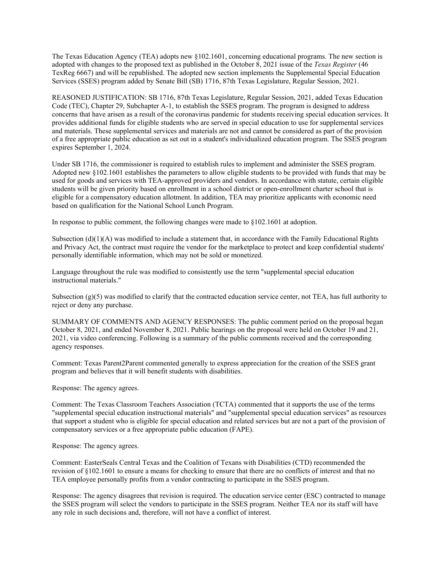The Texas Education Agency (TEA) adopts new §102.1601, concerning educational programs. The new section is adopted with changes to the proposed text as published in the October 8, 2021 issue of the *Texas Register* (46 TexReg 6667) and will be republished. The adopted new section implements the Supplemental Special Education Services (SSES) program added by Senate Bill (SB) 1716, 87th Texas Legislature, Regular Session, 2021.

REASONED JUSTIFICATION: SB 1716, 87th Texas Legislature, Regular Session, 2021, added Texas Education Code (TEC), Chapter 29, Subchapter A-1, to establish the SSES program. The program is designed to address concerns that have arisen as a result of the coronavirus pandemic for students receiving special education services. It provides additional funds for eligible students who are served in special education to use for supplemental services and materials. These supplemental services and materials are not and cannot be considered as part of the provision of a free appropriate public education as set out in a student's individualized education program. The SSES program expires September 1, 2024.

Under SB 1716, the commissioner is required to establish rules to implement and administer the SSES program. Adopted new §102.1601 establishes the parameters to allow eligible students to be provided with funds that may be used for goods and services with TEA-approved providers and vendors. In accordance with statute, certain eligible students will be given priority based on enrollment in a school district or open-enrollment charter school that is eligible for a compensatory education allotment. In addition, TEA may prioritize applicants with economic need based on qualification for the National School Lunch Program.

In response to public comment, the following changes were made to §102.1601 at adoption.

Subsection  $(d)(1)(A)$  was modified to include a statement that, in accordance with the Family Educational Rights and Privacy Act, the contract must require the vendor for the marketplace to protect and keep confidential students' personally identifiable information, which may not be sold or monetized.

Language throughout the rule was modified to consistently use the term "supplemental special education instructional materials."

Subsection  $(g)(5)$  was modified to clarify that the contracted education service center, not TEA, has full authority to reject or deny any purchase.

SUMMARY OF COMMENTS AND AGENCY RESPONSES: The public comment period on the proposal began October 8, 2021, and ended November 8, 2021. Public hearings on the proposal were held on October 19 and 21, 2021, via video conferencing. Following is a summary of the public comments received and the corresponding agency responses.

Comment: Texas Parent2Parent commented generally to express appreciation for the creation of the SSES grant program and believes that it will benefit students with disabilities.

Response: The agency agrees.

Comment: The Texas Classroom Teachers Association (TCTA) commented that it supports the use of the terms "supplemental special education instructional materials" and "supplemental special education services" as resources that support a student who is eligible for special education and related services but are not a part of the provision of compensatory services or a free appropriate public education (FAPE).

Response: The agency agrees.

Comment: EasterSeals Central Texas and the Coalition of Texans with Disabilities (CTD) recommended the revision of §102.1601 to ensure a means for checking to ensure that there are no conflicts of interest and that no TEA employee personally profits from a vendor contracting to participate in the SSES program.

Response: The agency disagrees that revision is required. The education service center (ESC) contracted to manage the SSES program will select the vendors to participate in the SSES program. Neither TEA nor its staff will have any role in such decisions and, therefore, will not have a conflict of interest.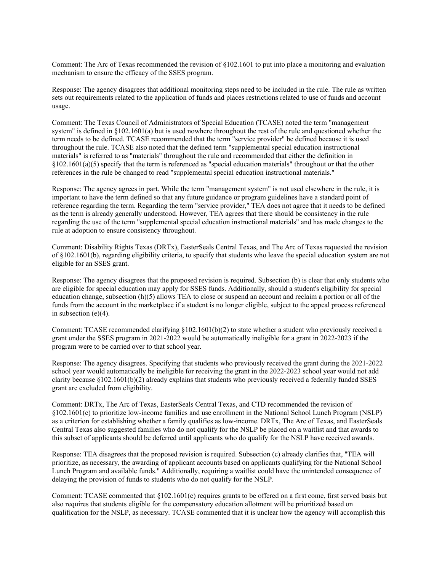Comment: The Arc of Texas recommended the revision of §102.1601 to put into place a monitoring and evaluation mechanism to ensure the efficacy of the SSES program.

Response: The agency disagrees that additional monitoring steps need to be included in the rule. The rule as written sets out requirements related to the application of funds and places restrictions related to use of funds and account usage.

Comment: The Texas Council of Administrators of Special Education (TCASE) noted the term "management system" is defined in §102.1601(a) but is used nowhere throughout the rest of the rule and questioned whether the term needs to be defined. TCASE recommended that the term "service provider" be defined because it is used throughout the rule. TCASE also noted that the defined term "supplemental special education instructional materials" is referred to as "materials" throughout the rule and recommended that either the definition in  $§102.1601(a)(5)$  specify that the term is referenced as "special education materials" throughout or that the other references in the rule be changed to read "supplemental special education instructional materials."

Response: The agency agrees in part. While the term "management system" is not used elsewhere in the rule, it is important to have the term defined so that any future guidance or program guidelines have a standard point of reference regarding the term. Regarding the term "service provider," TEA does not agree that it needs to be defined as the term is already generally understood. However, TEA agrees that there should be consistency in the rule regarding the use of the term "supplemental special education instructional materials" and has made changes to the rule at adoption to ensure consistency throughout.

Comment: Disability Rights Texas (DRTx), EasterSeals Central Texas, and The Arc of Texas requested the revision of §102.1601(b), regarding eligibility criteria, to specify that students who leave the special education system are not eligible for an SSES grant.

Response: The agency disagrees that the proposed revision is required. Subsection (b) is clear that only students who are eligible for special education may apply for SSES funds. Additionally, should a student's eligibility for special education change, subsection (h)(5) allows TEA to close or suspend an account and reclaim a portion or all of the funds from the account in the marketplace if a student is no longer eligible, subject to the appeal process referenced in subsection (e)(4).

Comment: TCASE recommended clarifying §102.1601(b)(2) to state whether a student who previously received a grant under the SSES program in 2021-2022 would be automatically ineligible for a grant in 2022-2023 if the program were to be carried over to that school year.

Response: The agency disagrees. Specifying that students who previously received the grant during the 2021-2022 school year would automatically be ineligible for receiving the grant in the 2022-2023 school year would not add clarity because §102.1601(b)(2) already explains that students who previously received a federally funded SSES grant are excluded from eligibility.

Comment: DRTx, The Arc of Texas, EasterSeals Central Texas, and CTD recommended the revision of §102.1601(c) to prioritize low-income families and use enrollment in the National School Lunch Program (NSLP) as a criterion for establishing whether a family qualifies as low-income. DRTx, The Arc of Texas, and EasterSeals Central Texas also suggested families who do not qualify for the NSLP be placed on a waitlist and that awards to this subset of applicants should be deferred until applicants who do qualify for the NSLP have received awards.

Response: TEA disagrees that the proposed revision is required. Subsection (c) already clarifies that, "TEA will prioritize, as necessary, the awarding of applicant accounts based on applicants qualifying for the National School Lunch Program and available funds." Additionally, requiring a waitlist could have the unintended consequence of delaying the provision of funds to students who do not qualify for the NSLP.

Comment: TCASE commented that §102.1601(c) requires grants to be offered on a first come, first served basis but also requires that students eligible for the compensatory education allotment will be prioritized based on qualification for the NSLP, as necessary. TCASE commented that it is unclear how the agency will accomplish this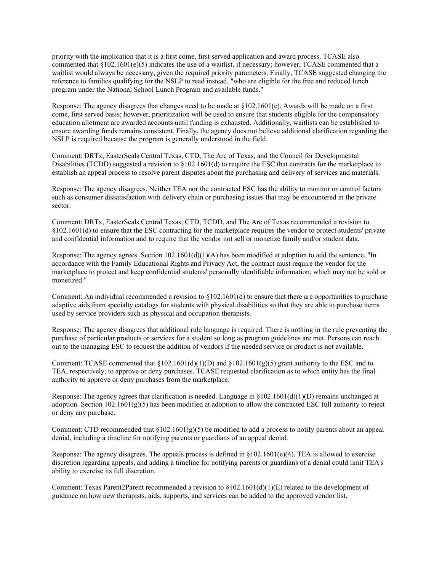priority with the implication that it is a first come, first served application and award process. TCASE also commented that §102.1601(e)(5) indicates the use of a waitlist, if necessary; however, TCASE commented that a waitlist would always be necessary, given the required priority parameters. Finally, TCASE suggested changing the reference to families qualifying for the NSLP to read instead, "who are eligible for the free and reduced lunch program under the National School Lunch Program and available funds."

Response: The agency disagrees that changes need to be made at  $\S 102.1601(c)$ . Awards will be made on a first come, first served basis; however, prioritization will be used to ensure that students eligible for the compensatory education allotment are awarded accounts until funding is exhausted. Additionally, waitlists can be established to ensure awarding funds remains consistent. Finally, the agency does not believe additional clarification regarding the NSLP is required because the program is generally understood in the field.

Comment: DRTx, EasterSeals Central Texas, CTD, The Arc of Texas, and the Council for Developmental Disabilities (TCDD) suggested a revision to  $\S 102.1601(d)$  to require the ESC that contracts for the marketplace to establish an appeal process to resolve parent disputes about the purchasing and delivery of services and materials.

Response: The agency disagrees. Neither TEA nor the contracted ESC has the ability to monitor or control factors such as consumer dissatisfaction with delivery chain or purchasing issues that may be encountered in the private sector.

Comment: DRTx, EasterSeals Central Texas, CTD, TCDD, and The Arc of Texas recommended a revision to §102.1601(d) to ensure that the ESC contracting for the marketplace requires the vendor to protect students' private and confidential information and to require that the vendor not sell or monetize family and/or student data.

Response: The agency agrees. Section 102.1601(d)(1)(A) has been modified at adoption to add the sentence, "In accordance with the Family Educational Rights and Privacy Act, the contract must require the vendor for the marketplace to protect and keep confidential students' personally identifiable information, which may not be sold or monetized."

Comment: An individual recommended a revision to  $\S 102.1601(d)$  to ensure that there are opportunities to purchase adaptive aids from specialty catalogs for students with physical disabilities so that they are able to purchase items used by service providers such as physical and occupation therapists.

Response: The agency disagrees that additional rule language is required. There is nothing in the rule preventing the purchase of particular products or services for a student so long as program guidelines are met. Persons can reach out to the managing ESC to request the addition of vendors if the needed service or product is not available.

Comment: TCASE commented that  $\S 102.1601(d)(1)(D)$  and  $\S 102.1601(g)(5)$  grant authority to the ESC and to TEA, respectively, to approve or deny purchases. TCASE requested clarification as to which entity has the final authority to approve or deny purchases from the marketplace.

Response: The agency agrees that clarification is needed. Language in  $\S102.1601(d)(1)(D)$  remains unchanged at adoption. Section 102.1601(g)(5) has been modified at adoption to allow the contracted ESC full authority to reject or deny any purchase.

Comment: CTD recommended that  $\S 102.1601(g)(5)$  be modified to add a process to notify parents about an appeal denial, including a timeline for notifying parents or guardians of an appeal denial.

Response: The agency disagrees. The appeals process is defined in  $\S 102.1601(e)(4)$ . TEA is allowed to exercise discretion regarding appeals, and adding a timeline for notifying parents or guardians of a denial could limit TEA's ability to exercise its full discretion.

Comment: Texas Parent2Parent recommended a revision to §102.1601(d)(1)(E) related to the development of guidance on how new therapists, aids, supports, and services can be added to the approved vendor list.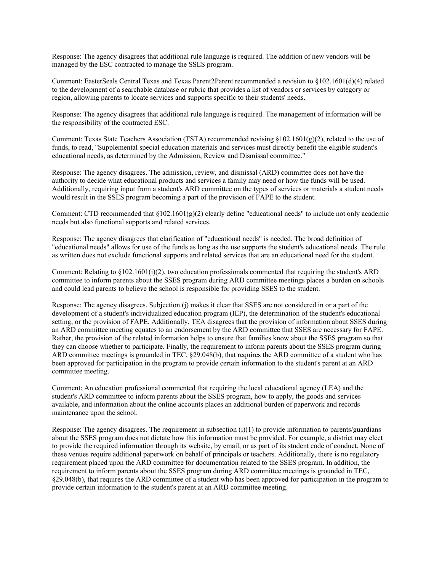Response: The agency disagrees that additional rule language is required. The addition of new vendors will be managed by the ESC contracted to manage the SSES program.

Comment: EasterSeals Central Texas and Texas Parent2Parent recommended a revision to §102.1601(d)(4) related to the development of a searchable database or rubric that provides a list of vendors or services by category or region, allowing parents to locate services and supports specific to their students' needs.

Response: The agency disagrees that additional rule language is required. The management of information will be the responsibility of the contracted ESC.

Comment: Texas State Teachers Association (TSTA) recommended revising  $\S102.1601(g)(2)$ , related to the use of funds, to read, "Supplemental special education materials and services must directly benefit the eligible student's educational needs, as determined by the Admission, Review and Dismissal committee."

Response: The agency disagrees. The admission, review, and dismissal (ARD) committee does not have the authority to decide what educational products and services a family may need or how the funds will be used. Additionally, requiring input from a student's ARD committee on the types of services or materials a student needs would result in the SSES program becoming a part of the provision of FAPE to the student.

Comment: CTD recommended that  $\S 102.1601(g)(2)$  clearly define "educational needs" to include not only academic needs but also functional supports and related services.

Response: The agency disagrees that clarification of "educational needs" is needed. The broad definition of "educational needs" allows for use of the funds as long as the use supports the student's educational needs. The rule as written does not exclude functional supports and related services that are an educational need for the student.

Comment: Relating to  $\S 102.1601(i)(2)$ , two education professionals commented that requiring the student's ARD committee to inform parents about the SSES program during ARD committee meetings places a burden on schools and could lead parents to believe the school is responsible for providing SSES to the student.

Response: The agency disagrees. Subjection (j) makes it clear that SSES are not considered in or a part of the development of a student's individualized education program (IEP), the determination of the student's educational setting, or the provision of FAPE. Additionally, TEA disagrees that the provision of information about SSES during an ARD committee meeting equates to an endorsement by the ARD committee that SSES are necessary for FAPE. Rather, the provision of the related information helps to ensure that families know about the SSES program so that they can choose whether to participate. Finally, the requirement to inform parents about the SSES program during ARD committee meetings is grounded in TEC,  $\S29.048(b)$ , that requires the ARD committee of a student who has been approved for participation in the program to provide certain information to the student's parent at an ARD committee meeting.

Comment: An education professional commented that requiring the local educational agency (LEA) and the student's ARD committee to inform parents about the SSES program, how to apply, the goods and services available, and information about the online accounts places an additional burden of paperwork and records maintenance upon the school.

Response: The agency disagrees. The requirement in subsection  $(i)(1)$  to provide information to parents/guardians about the SSES program does not dictate how this information must be provided. For example, a district may elect to provide the required information through its website, by email, or as part of its student code of conduct. None of these venues require additional paperwork on behalf of principals or teachers. Additionally, there is no regulatory requirement placed upon the ARD committee for documentation related to the SSES program. In addition, the requirement to inform parents about the SSES program during ARD committee meetings is grounded in TEC, §29.048(b), that requires the ARD committee of a student who has been approved for participation in the program to provide certain information to the student's parent at an ARD committee meeting.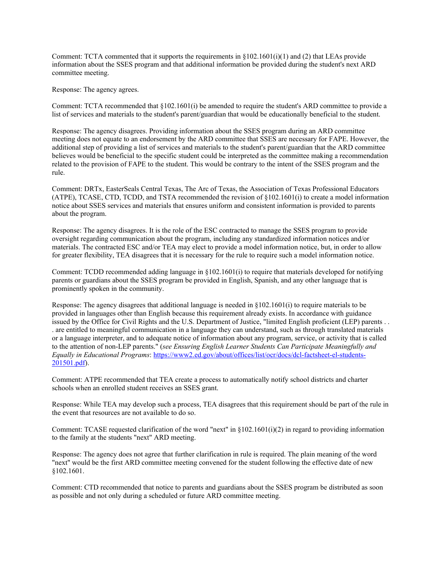Comment: TCTA commented that it supports the requirements in  $\S 102.1601(i)(1)$  and (2) that LEAs provide information about the SSES program and that additional information be provided during the student's next ARD committee meeting.

Response: The agency agrees.

Comment: TCTA recommended that §102.1601(i) be amended to require the student's ARD committee to provide a list of services and materials to the student's parent/guardian that would be educationally beneficial to the student.

Response: The agency disagrees. Providing information about the SSES program during an ARD committee meeting does not equate to an endorsement by the ARD committee that SSES are necessary for FAPE. However, the additional step of providing a list of services and materials to the student's parent/guardian that the ARD committee believes would be beneficial to the specific student could be interpreted as the committee making a recommendation related to the provision of FAPE to the student. This would be contrary to the intent of the SSES program and the rule.

Comment: DRTx, EasterSeals Central Texas, The Arc of Texas, the Association of Texas Professional Educators (ATPE), TCASE, CTD, TCDD, and TSTA recommended the revision of §102.1601(i) to create a model information notice about SSES services and materials that ensures uniform and consistent information is provided to parents about the program.

Response: The agency disagrees. It is the role of the ESC contracted to manage the SSES program to provide oversight regarding communication about the program, including any standardized information notices and/or materials. The contracted ESC and/or TEA may elect to provide a model information notice, but, in order to allow for greater flexibility, TEA disagrees that it is necessary for the rule to require such a model information notice.

Comment: TCDD recommended adding language in §102.1601(i) to require that materials developed for notifying parents or guardians about the SSES program be provided in English, Spanish, and any other language that is prominently spoken in the community.

Response: The agency disagrees that additional language is needed in §102.1601(i) to require materials to be provided in languages other than English because this requirement already exists. In accordance with guidance issued by the Office for Civil Rights and the U.S. Department of Justice, "limited English proficient (LEP) parents . . . are entitled to meaningful communication in a language they can understand, such as through translated materials or a language interpreter, and to adequate notice of information about any program, service, or activity that is called to the attention of non-LEP parents." (*see Ensuring English Learner Students Can Participate Meaningfully and Equally in Educational Programs*[: https://www2.ed.gov/about/offices/list/ocr/docs/dcl-factsheet-el-students-](https://www2.ed.gov/about/offices/list/ocr/docs/dcl-factsheet-el-students-201501.pdf)[201501.pdf\)](https://www2.ed.gov/about/offices/list/ocr/docs/dcl-factsheet-el-students-201501.pdf).

Comment: ATPE recommended that TEA create a process to automatically notify school districts and charter schools when an enrolled student receives an SSES grant.

Response: While TEA may develop such a process, TEA disagrees that this requirement should be part of the rule in the event that resources are not available to do so.

Comment: TCASE requested clarification of the word "next" in  $\S 102.1601(i)(2)$  in regard to providing information to the family at the students "next" ARD meeting.

Response: The agency does not agree that further clarification in rule is required. The plain meaning of the word "next" would be the first ARD committee meeting convened for the student following the effective date of new §102.1601.

Comment: CTD recommended that notice to parents and guardians about the SSES program be distributed as soon as possible and not only during a scheduled or future ARD committee meeting.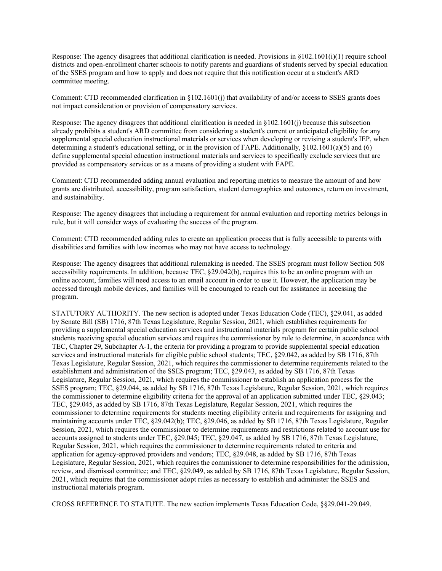Response: The agency disagrees that additional clarification is needed. Provisions in  $\S 102.1601(i)(1)$  require school districts and open-enrollment charter schools to notify parents and guardians of students served by special education of the SSES program and how to apply and does not require that this notification occur at a student's ARD committee meeting.

Comment: CTD recommended clarification in §102.1601(j) that availability of and/or access to SSES grants does not impact consideration or provision of compensatory services.

Response: The agency disagrees that additional clarification is needed in §102.1601(j) because this subsection already prohibits a student's ARD committee from considering a student's current or anticipated eligibility for any supplemental special education instructional materials or services when developing or revising a student's IEP, when determining a student's educational setting, or in the provision of FAPE. Additionally, §102.1601(a)(5) and (6) define supplemental special education instructional materials and services to specifically exclude services that are provided as compensatory services or as a means of providing a student with FAPE.

Comment: CTD recommended adding annual evaluation and reporting metrics to measure the amount of and how grants are distributed, accessibility, program satisfaction, student demographics and outcomes, return on investment, and sustainability.

Response: The agency disagrees that including a requirement for annual evaluation and reporting metrics belongs in rule, but it will consider ways of evaluating the success of the program.

Comment: CTD recommended adding rules to create an application process that is fully accessible to parents with disabilities and families with low incomes who may not have access to technology.

Response: The agency disagrees that additional rulemaking is needed. The SSES program must follow Section 508 accessibility requirements. In addition, because TEC, §29.042(b), requires this to be an online program with an online account, families will need access to an email account in order to use it. However, the application may be accessed through mobile devices, and families will be encouraged to reach out for assistance in accessing the program.

STATUTORY AUTHORITY. The new section is adopted under Texas Education Code (TEC), §29.041, as added by Senate Bill (SB) 1716, 87th Texas Legislature, Regular Session, 2021, which establishes requirements for providing a supplemental special education services and instructional materials program for certain public school students receiving special education services and requires the commissioner by rule to determine, in accordance with TEC, Chapter 29, Subchapter A-1, the criteria for providing a program to provide supplemental special education services and instructional materials for eligible public school students; TEC, §29.042, as added by SB 1716, 87th Texas Legislature, Regular Session, 2021, which requires the commissioner to determine requirements related to the establishment and administration of the SSES program; TEC, §29.043, as added by SB 1716, 87th Texas Legislature, Regular Session, 2021, which requires the commissioner to establish an application process for the SSES program; TEC, §29.044, as added by SB 1716, 87th Texas Legislature, Regular Session, 2021, which requires the commissioner to determine eligibility criteria for the approval of an application submitted under TEC, §29.043; TEC, §29.045, as added by SB 1716, 87th Texas Legislature, Regular Session, 2021, which requires the commissioner to determine requirements for students meeting eligibility criteria and requirements for assigning and maintaining accounts under TEC, §29.042(b); TEC, §29.046, as added by SB 1716, 87th Texas Legislature, Regular Session, 2021, which requires the commissioner to determine requirements and restrictions related to account use for accounts assigned to students under TEC, §29.045; TEC, §29.047, as added by SB 1716, 87th Texas Legislature, Regular Session, 2021, which requires the commissioner to determine requirements related to criteria and application for agency-approved providers and vendors; TEC, §29.048, as added by SB 1716, 87th Texas Legislature, Regular Session, 2021, which requires the commissioner to determine responsibilities for the admission, review, and dismissal committee; and TEC, §29.049, as added by SB 1716, 87th Texas Legislature, Regular Session, 2021, which requires that the commissioner adopt rules as necessary to establish and administer the SSES and instructional materials program.

CROSS REFERENCE TO STATUTE. The new section implements Texas Education Code, §§29.041-29.049.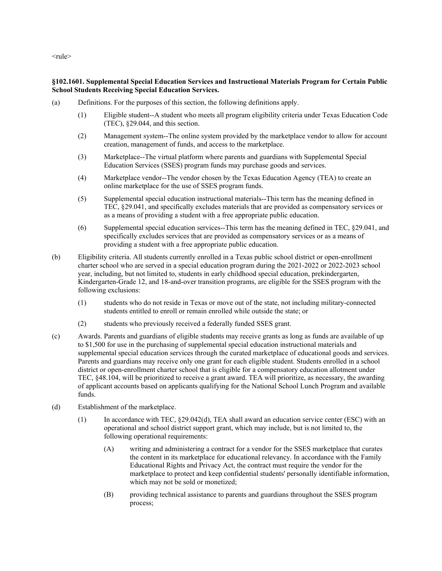<rule>

## **§102.1601. Supplemental Special Education Services and Instructional Materials Program for Certain Public School Students Receiving Special Education Services.**

- (a) Definitions. For the purposes of this section, the following definitions apply.
	- (1) Eligible student--A student who meets all program eligibility criteria under Texas Education Code (TEC), §29.044, and this section.
	- (2) Management system--The online system provided by the marketplace vendor to allow for account creation, management of funds, and access to the marketplace.
	- (3) Marketplace--The virtual platform where parents and guardians with Supplemental Special Education Services (SSES) program funds may purchase goods and services.
	- (4) Marketplace vendor--The vendor chosen by the Texas Education Agency (TEA) to create an online marketplace for the use of SSES program funds.
	- (5) Supplemental special education instructional materials--This term has the meaning defined in TEC, §29.041, and specifically excludes materials that are provided as compensatory services or as a means of providing a student with a free appropriate public education.
	- (6) Supplemental special education services--This term has the meaning defined in TEC, §29.041, and specifically excludes services that are provided as compensatory services or as a means of providing a student with a free appropriate public education.
- (b) Eligibility criteria. All students currently enrolled in a Texas public school district or open-enrollment charter school who are served in a special education program during the 2021-2022 or 2022-2023 school year, including, but not limited to, students in early childhood special education, prekindergarten, Kindergarten-Grade 12, and 18-and-over transition programs, are eligible for the SSES program with the following exclusions:
	- (1) students who do not reside in Texas or move out of the state, not including military-connected students entitled to enroll or remain enrolled while outside the state; or
	- (2) students who previously received a federally funded SSES grant.
- (c) Awards. Parents and guardians of eligible students may receive grants as long as funds are available of up to \$1,500 for use in the purchasing of supplemental special education instructional materials and supplemental special education services through the curated marketplace of educational goods and services. Parents and guardians may receive only one grant for each eligible student. Students enrolled in a school district or open-enrollment charter school that is eligible for a compensatory education allotment under TEC, §48.104, will be prioritized to receive a grant award. TEA will prioritize, as necessary, the awarding of applicant accounts based on applicants qualifying for the National School Lunch Program and available funds.
- (d) Establishment of the marketplace.
	- (1) In accordance with TEC, §29.042(d), TEA shall award an education service center (ESC) with an operational and school district support grant, which may include, but is not limited to, the following operational requirements:
		- (A) writing and administering a contract for a vendor for the SSES marketplace that curates the content in its marketplace for educational relevancy. In accordance with the Family Educational Rights and Privacy Act, the contract must require the vendor for the marketplace to protect and keep confidential students' personally identifiable information, which may not be sold or monetized;
		- (B) providing technical assistance to parents and guardians throughout the SSES program process;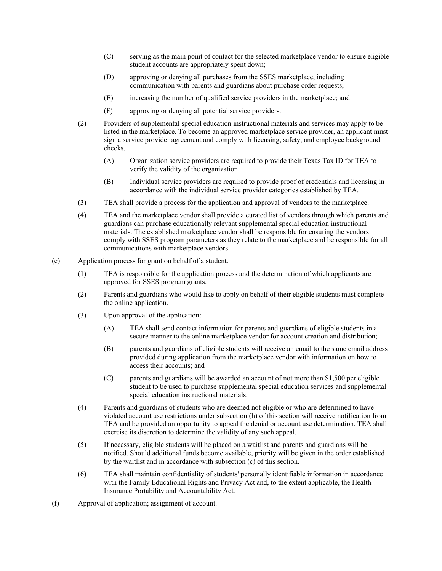- (C) serving as the main point of contact for the selected marketplace vendor to ensure eligible student accounts are appropriately spent down;
- (D) approving or denying all purchases from the SSES marketplace, including communication with parents and guardians about purchase order requests;
- (E) increasing the number of qualified service providers in the marketplace; and
- (F) approving or denying all potential service providers.
- (2) Providers of supplemental special education instructional materials and services may apply to be listed in the marketplace. To become an approved marketplace service provider, an applicant must sign a service provider agreement and comply with licensing, safety, and employee background checks.
	- (A) Organization service providers are required to provide their Texas Tax ID for TEA to verify the validity of the organization.
	- (B) Individual service providers are required to provide proof of credentials and licensing in accordance with the individual service provider categories established by TEA.
- (3) TEA shall provide a process for the application and approval of vendors to the marketplace.
- (4) TEA and the marketplace vendor shall provide a curated list of vendors through which parents and guardians can purchase educationally relevant supplemental special education instructional materials. The established marketplace vendor shall be responsible for ensuring the vendors comply with SSES program parameters as they relate to the marketplace and be responsible for all communications with marketplace vendors.
- (e) Application process for grant on behalf of a student.
	- (1) TEA is responsible for the application process and the determination of which applicants are approved for SSES program grants.
	- (2) Parents and guardians who would like to apply on behalf of their eligible students must complete the online application.
	- (3) Upon approval of the application:
		- (A) TEA shall send contact information for parents and guardians of eligible students in a secure manner to the online marketplace vendor for account creation and distribution;
		- (B) parents and guardians of eligible students will receive an email to the same email address provided during application from the marketplace vendor with information on how to access their accounts; and
		- (C) parents and guardians will be awarded an account of not more than \$1,500 per eligible student to be used to purchase supplemental special education services and supplemental special education instructional materials.
	- (4) Parents and guardians of students who are deemed not eligible or who are determined to have violated account use restrictions under subsection (h) of this section will receive notification from TEA and be provided an opportunity to appeal the denial or account use determination. TEA shall exercise its discretion to determine the validity of any such appeal.
	- (5) If necessary, eligible students will be placed on a waitlist and parents and guardians will be notified. Should additional funds become available, priority will be given in the order established by the waitlist and in accordance with subsection (c) of this section.
	- (6) TEA shall maintain confidentiality of students' personally identifiable information in accordance with the Family Educational Rights and Privacy Act and, to the extent applicable, the Health Insurance Portability and Accountability Act.
- (f) Approval of application; assignment of account.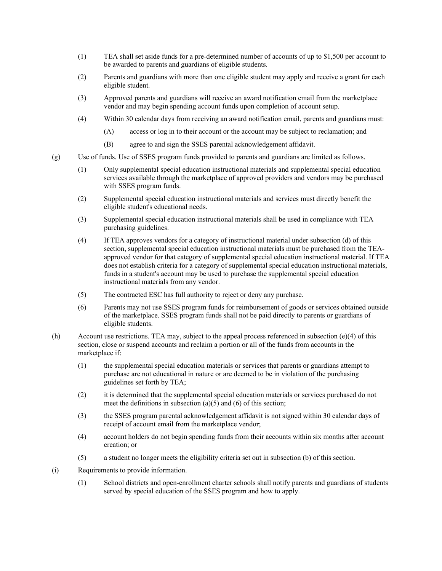- (1) TEA shall set aside funds for a pre-determined number of accounts of up to \$1,500 per account to be awarded to parents and guardians of eligible students.
- (2) Parents and guardians with more than one eligible student may apply and receive a grant for each eligible student.
- (3) Approved parents and guardians will receive an award notification email from the marketplace vendor and may begin spending account funds upon completion of account setup.
- (4) Within 30 calendar days from receiving an award notification email, parents and guardians must:
	- (A) access or log in to their account or the account may be subject to reclamation; and
	- (B) agree to and sign the SSES parental acknowledgement affidavit.
- (g) Use of funds. Use of SSES program funds provided to parents and guardians are limited as follows.
	- (1) Only supplemental special education instructional materials and supplemental special education services available through the marketplace of approved providers and vendors may be purchased with SSES program funds.
	- (2) Supplemental special education instructional materials and services must directly benefit the eligible student's educational needs.
	- (3) Supplemental special education instructional materials shall be used in compliance with TEA purchasing guidelines.
	- (4) If TEA approves vendors for a category of instructional material under subsection (d) of this section, supplemental special education instructional materials must be purchased from the TEAapproved vendor for that category of supplemental special education instructional material. If TEA does not establish criteria for a category of supplemental special education instructional materials, funds in a student's account may be used to purchase the supplemental special education instructional materials from any vendor.
	- (5) The contracted ESC has full authority to reject or deny any purchase.
	- (6) Parents may not use SSES program funds for reimbursement of goods or services obtained outside of the marketplace. SSES program funds shall not be paid directly to parents or guardians of eligible students.
- (h) Account use restrictions. TEA may, subject to the appeal process referenced in subsection (e)(4) of this section, close or suspend accounts and reclaim a portion or all of the funds from accounts in the marketplace if:
	- (1) the supplemental special education materials or services that parents or guardians attempt to purchase are not educational in nature or are deemed to be in violation of the purchasing guidelines set forth by TEA;
	- (2) it is determined that the supplemental special education materials or services purchased do not meet the definitions in subsection  $(a)(5)$  and  $(6)$  of this section;
	- (3) the SSES program parental acknowledgement affidavit is not signed within 30 calendar days of receipt of account email from the marketplace vendor;
	- (4) account holders do not begin spending funds from their accounts within six months after account creation; or
	- (5) a student no longer meets the eligibility criteria set out in subsection (b) of this section.
- (i) Requirements to provide information.
	- (1) School districts and open-enrollment charter schools shall notify parents and guardians of students served by special education of the SSES program and how to apply.